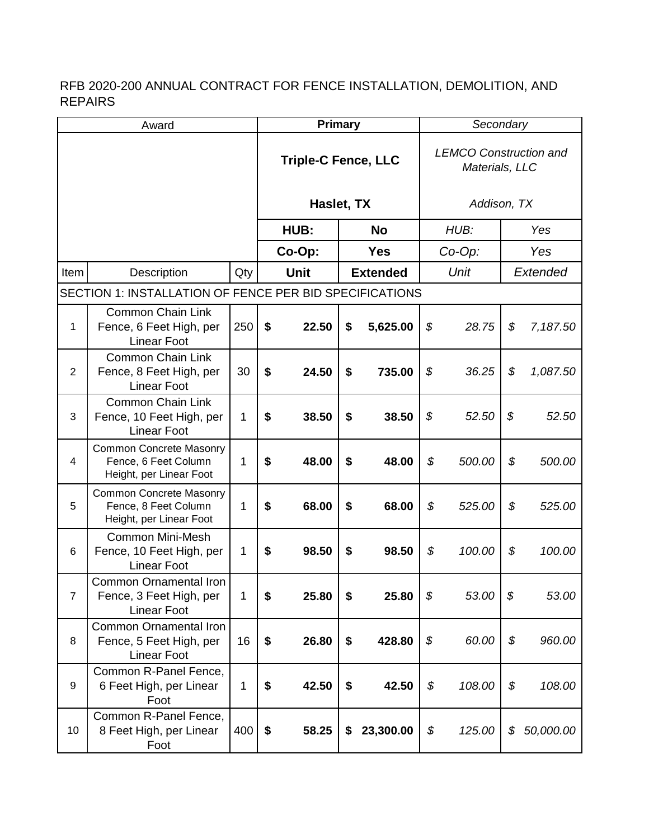| Award          |                                                                                   |     | <b>Primary</b> |                            |                 |            | Secondary |                                                 |          |           |  |
|----------------|-----------------------------------------------------------------------------------|-----|----------------|----------------------------|-----------------|------------|-----------|-------------------------------------------------|----------|-----------|--|
|                |                                                                                   |     |                | <b>Triple-C Fence, LLC</b> |                 |            |           | <b>LEMCO Construction and</b><br>Materials, LLC |          |           |  |
|                |                                                                                   |     |                | Haslet, TX                 |                 |            |           | Addison, TX                                     |          |           |  |
|                |                                                                                   |     | HUB:           |                            | <b>No</b>       |            | HUB:      |                                                 | Yes      |           |  |
|                |                                                                                   |     | Co-Op:         |                            |                 | <b>Yes</b> |           | $Co-Op$ :                                       |          | Yes       |  |
| Item           | Description                                                                       | Qty | Unit           |                            | <b>Extended</b> |            | Unit      |                                                 | Extended |           |  |
|                | SECTION 1: INSTALLATION OF FENCE PER BID SPECIFICATIONS                           |     |                |                            |                 |            |           |                                                 |          |           |  |
| 1              | <b>Common Chain Link</b><br>Fence, 6 Feet High, per<br><b>Linear Foot</b>         | 250 | \$             | 22.50                      | \$              | 5,625.00   | \$        | 28.75                                           | \$       | 7,187.50  |  |
| $\overline{2}$ | <b>Common Chain Link</b><br>Fence, 8 Feet High, per<br><b>Linear Foot</b>         | 30  | \$             | 24.50                      | \$              | 735.00     | \$        | 36.25                                           | \$       | 1,087.50  |  |
| 3              | <b>Common Chain Link</b><br>Fence, 10 Feet High, per<br><b>Linear Foot</b>        | 1   | \$             | 38.50                      | \$              | 38.50      | \$        | 52.50                                           | \$       | 52.50     |  |
| 4              | <b>Common Concrete Masonry</b><br>Fence, 6 Feet Column<br>Height, per Linear Foot | 1   | \$             | 48.00                      | \$              | 48.00      | \$        | 500.00                                          | \$       | 500.00    |  |
| 5              | <b>Common Concrete Masonry</b><br>Fence, 8 Feet Column<br>Height, per Linear Foot | 1   | \$             | 68.00                      | \$              | 68.00      | \$        | 525.00                                          | \$       | 525.00    |  |
| 6              | <b>Common Mini-Mesh</b><br>Fence, 10 Feet High, per<br><b>Linear Foot</b>         | 1   | \$             | 98.50                      | \$              | 98.50      | \$        | 100.00                                          | \$       | 100.00    |  |
| $\overline{7}$ | <b>Common Ornamental Iron</b><br>Fence, 3 Feet High, per<br><b>Linear Foot</b>    | 1   | \$             | 25.80                      | \$              | 25.80      | \$        | 53.00                                           | \$       | 53.00     |  |
| 8              | <b>Common Ornamental Iron</b><br>Fence, 5 Feet High, per<br><b>Linear Foot</b>    | 16  | \$             | 26.80                      | \$              | 428.80     | \$        | 60.00                                           | \$       | 960.00    |  |
| 9              | Common R-Panel Fence,<br>6 Feet High, per Linear<br>Foot                          | 1   | \$             | 42.50                      | \$              | 42.50      | \$        | 108.00                                          | \$       | 108.00    |  |
| 10             | Common R-Panel Fence,<br>8 Feet High, per Linear<br>Foot                          | 400 | \$             | 58.25                      | \$              | 23,300.00  | \$        | 125.00                                          | \$       | 50,000.00 |  |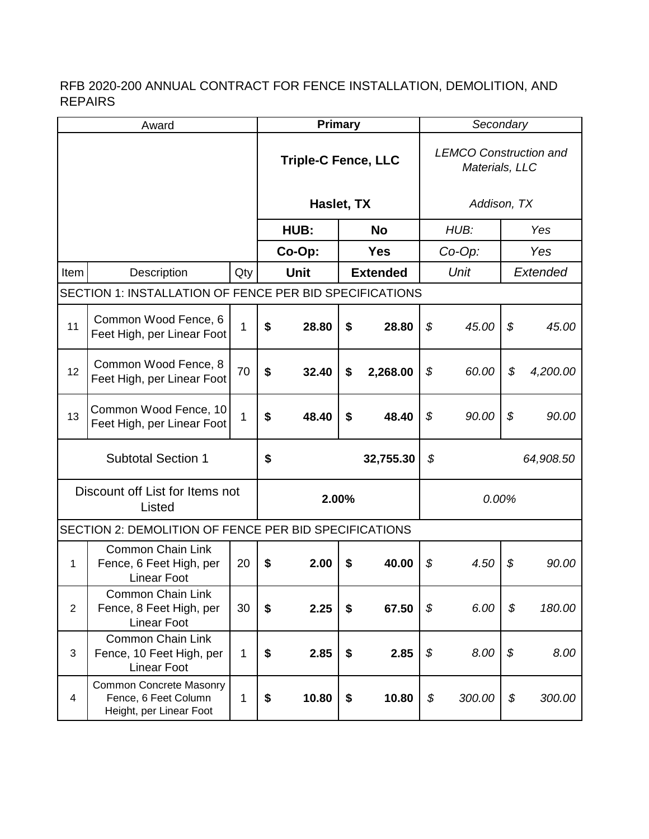| Award                                     |                                                                                   |             |                                        | <b>Primary</b>             |    |            |             | Secondary                                       |     |          |  |
|-------------------------------------------|-----------------------------------------------------------------------------------|-------------|----------------------------------------|----------------------------|----|------------|-------------|-------------------------------------------------|-----|----------|--|
|                                           |                                                                                   |             |                                        | <b>Triple-C Fence, LLC</b> |    |            |             | <b>LEMCO Construction and</b><br>Materials, LLC |     |          |  |
|                                           |                                                                                   |             | Haslet, TX                             |                            |    |            | Addison, TX |                                                 |     |          |  |
|                                           |                                                                                   |             | HUB:<br><b>No</b>                      |                            |    |            | HUB:        |                                                 | Yes |          |  |
|                                           |                                                                                   |             | Co-Op:                                 |                            |    | <b>Yes</b> |             | $Co-Op$ :                                       |     | Yes      |  |
| Item                                      | Description                                                                       | Qty         | <b>Unit</b><br><b>Extended</b><br>Unit |                            |    | Extended   |             |                                                 |     |          |  |
|                                           | SECTION 1: INSTALLATION OF FENCE PER BID SPECIFICATIONS                           |             |                                        |                            |    |            |             |                                                 |     |          |  |
| 11                                        | Common Wood Fence, 6<br>Feet High, per Linear Foot                                | $\mathbf 1$ | \$                                     | 28.80                      | \$ | 28.80      | \$          | 45.00                                           | \$  | 45.00    |  |
| 12                                        | Common Wood Fence, 8<br>Feet High, per Linear Foot                                | 70          | \$                                     | 32.40                      | \$ | 2,268.00   | \$          | 60.00                                           | \$  | 4,200.00 |  |
| 13                                        | Common Wood Fence, 10<br>Feet High, per Linear Foot                               | 1           | \$                                     | 48.40                      | \$ | 48.40      | \$          | 90.00                                           | \$  | 90.00    |  |
| <b>Subtotal Section 1</b>                 |                                                                                   |             |                                        | \$<br>32,755.30            |    |            | \$          | 64,908.50                                       |     |          |  |
| Discount off List for Items not<br>Listed |                                                                                   |             | 2.00%                                  |                            |    | 0.00%      |             |                                                 |     |          |  |
|                                           | SECTION 2: DEMOLITION OF FENCE PER BID SPECIFICATIONS                             |             |                                        |                            |    |            |             |                                                 |     |          |  |
| 1                                         | Common Chain Link<br>Fence, 6 Feet High, per<br><b>Linear Foot</b>                | 20          | \$                                     | 2.00                       | \$ | 40.00      | \$          | 4.50                                            | \$  | 90.00    |  |
| $\overline{2}$                            | Common Chain Link<br>Fence, 8 Feet High, per<br><b>Linear Foot</b>                | 30          | \$                                     | 2.25                       | \$ | 67.50      | \$          | 6.00                                            | \$  | 180.00   |  |
| 3                                         | <b>Common Chain Link</b><br>Fence, 10 Feet High, per<br><b>Linear Foot</b>        | 1           | \$                                     | 2.85                       | \$ | 2.85       | \$          | 8.00                                            | \$  | 8.00     |  |
| 4                                         | <b>Common Concrete Masonry</b><br>Fence, 6 Feet Column<br>Height, per Linear Foot | 1           | \$                                     | 10.80                      | \$ | 10.80      | \$          | 300.00                                          | \$  | 300.00   |  |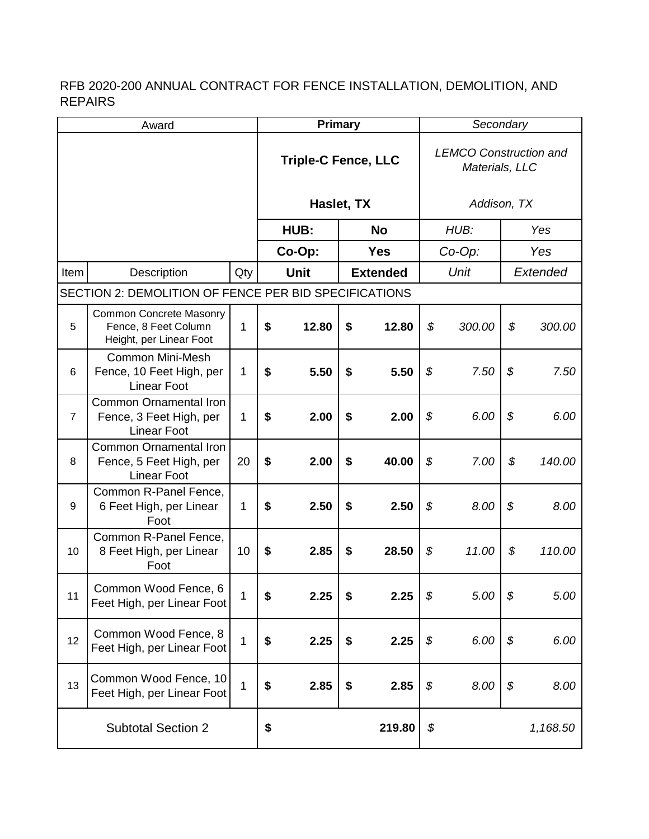| Award          |                                                                                   |                | <b>Primary</b>             |       |                 |        | Secondary                                       |        |          |          |
|----------------|-----------------------------------------------------------------------------------|----------------|----------------------------|-------|-----------------|--------|-------------------------------------------------|--------|----------|----------|
|                |                                                                                   |                | <b>Triple-C Fence, LLC</b> |       |                 |        | <b>LEMCO Construction and</b><br>Materials, LLC |        |          |          |
|                |                                                                                   |                | Haslet, TX                 |       |                 |        | Addison, TX                                     |        |          |          |
|                |                                                                                   |                |                            | HUB:  | <b>No</b>       |        | HUB:                                            |        | Yes      |          |
|                |                                                                                   |                | Co-Op:                     |       | <b>Yes</b>      |        | Co-Op:                                          |        | Yes      |          |
| Item           | Description                                                                       | Qty            | <b>Unit</b>                |       | <b>Extended</b> |        | Unit                                            |        | Extended |          |
|                | SECTION 2: DEMOLITION OF FENCE PER BID SPECIFICATIONS                             |                |                            |       |                 |        |                                                 |        |          |          |
| 5              | <b>Common Concrete Masonry</b><br>Fence, 8 Feet Column<br>Height, per Linear Foot | 1              | \$                         | 12.80 | \$              | 12.80  | \$                                              | 300.00 | \$       | 300.00   |
| 6              | <b>Common Mini-Mesh</b><br>Fence, 10 Feet High, per<br><b>Linear Foot</b>         | 1              | \$                         | 5.50  | \$              | 5.50   | \$                                              | 7.50   | \$       | 7.50     |
| $\overline{7}$ | <b>Common Ornamental Iron</b><br>Fence, 3 Feet High, per<br><b>Linear Foot</b>    | 1              | \$                         | 2.00  | \$              | 2.00   | \$                                              | 6.00   | \$       | 6.00     |
| 8              | Common Ornamental Iron<br>Fence, 5 Feet High, per<br><b>Linear Foot</b>           | 20             | \$                         | 2.00  | \$              | 40.00  | \$                                              | 7.00   | \$       | 140.00   |
| 9              | Common R-Panel Fence,<br>6 Feet High, per Linear<br>Foot                          | 1              | \$                         | 2.50  | \$              | 2.50   | \$                                              | 8.00   | \$       | 8.00     |
| 10             | Common R-Panel Fence,<br>8 Feet High, per Linear<br>Foot                          | 10             | \$                         | 2.85  | \$              | 28.50  | \$                                              | 11.00  | \$       | 110.00   |
| 11             | Common Wood Fence, 6<br>Feet High, per Linear Foot                                | $\overline{1}$ | \$                         | 2.25  | \$              | 2.25   | \$                                              | 5.00   | \$       | 5.00     |
| 12             | Common Wood Fence, 8<br>Feet High, per Linear Foot                                | 1              | \$                         | 2.25  | \$              | 2.25   | \$                                              | 6.00   | \$       | 6.00     |
| 13             | Common Wood Fence, 10<br>Feet High, per Linear Foot                               | $\overline{1}$ | \$                         | 2.85  | \$              | 2.85   | \$                                              | 8.00   | \$       | 8.00     |
|                | <b>Subtotal Section 2</b>                                                         |                | \$                         |       |                 | 219.80 | \$                                              |        |          | 1,168.50 |